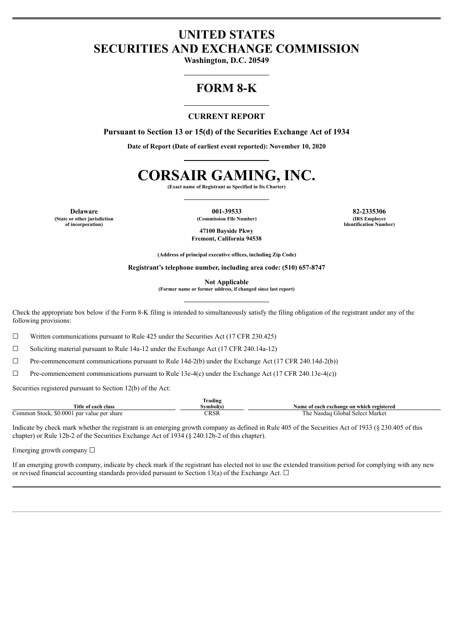# **UNITED STATES SECURITIES AND EXCHANGE COMMISSION**

**Washington, D.C. 20549**

# **FORM 8-K**

#### **CURRENT REPORT**

**Pursuant to Section 13 or 15(d) of the Securities Exchange Act of 1934**

**Date of Report (Date of earliest event reported): November 10, 2020**

# **CORSAIR GAMING, INC.**

**(Exact name of Registrant as Specified in Its Charter)**

**(State or other jurisdiction of incorporation)**

**Delaware 001-39533 82-2335306 (Commission File Number) (IRS Employer Identification Number)**

**47100 Bayside Pkwy Fremont, California 94538**

**(Address of principal executive offices, including Zip Code)**

**Registrant's telephone number, including area code: (510) 657-8747**

**Not Applicable**

**(Former name or former address, if changed since last report)**

Check the appropriate box below if the Form 8-K filing is intended to simultaneously satisfy the filing obligation of the registrant under any of the following provisions:

 $\Box$  Written communications pursuant to Rule 425 under the Securities Act (17 CFR 230.425)

 $\Box$  Soliciting material pursuant to Rule 14a-12 under the Exchange Act (17 CFR 240.14a-12)

 $\Box$  Pre-commencement communications pursuant to Rule 14d-2(b) under the Exchange Act (17 CFR 240.14d-2(b))

 $\Box$  Pre-commencement communications pursuant to Rule 13e-4(c) under the Exchange Act (17 CFR 240.13e-4(c))

Securities registered pursuant to Section 12(b) of the Act:

|                                            | Trading  |                                           |
|--------------------------------------------|----------|-------------------------------------------|
| Title of each class                        | svmbol(s | Name of each exchange on which registered |
| Common Stock, \$0,0001 par value per share | TRSR     | The<br>Nasdag Global Select Market        |

Indicate by check mark whether the registrant is an emerging growth company as defined in Rule 405 of the Securities Act of 1933 (§ 230.405 of this chapter) or Rule 12b-2 of the Securities Exchange Act of 1934 (§ 240.12b-2 of this chapter).

Emerging growth company  $\Box$ 

If an emerging growth company, indicate by check mark if the registrant has elected not to use the extended transition period for complying with any new or revised financial accounting standards provided pursuant to Section 13(a) of the Exchange Act.  $\Box$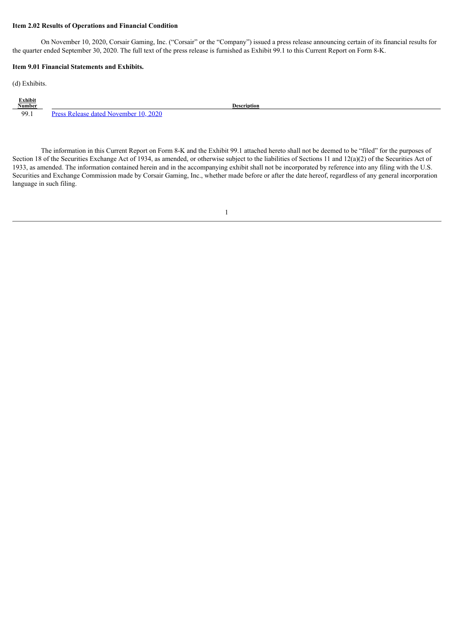#### **Item 2.02 Results of Operations and Financial Condition**

On November 10, 2020, Corsair Gaming, Inc. ("Corsair" or the "Company") issued a press release announcing certain of its financial results for the quarter ended September 30, 2020. The full text of the press release is furnished as Exhibit 99.1 to this Current Report on Form 8-K.

#### **Item 9.01 Financial Statements and Exhibits.**

(d) Exhibits.

| <b>Exhibit</b><br>Number |                                                          |  |
|--------------------------|----------------------------------------------------------|--|
|                          | <b>Description</b>                                       |  |
| 99.1                     | 2020<br>$P_{max}$<br>ated November I<br>. <i>Dalanga</i> |  |

The information in this Current Report on Form 8-K and the Exhibit 99.1 attached hereto shall not be deemed to be "filed" for the purposes of Section 18 of the Securities Exchange Act of 1934, as amended, or otherwise subject to the liabilities of Sections 11 and 12(a)(2) of the Securities Act of 1933, as amended. The information contained herein and in the accompanying exhibit shall not be incorporated by reference into any filing with the U.S. Securities and Exchange Commission made by Corsair Gaming, Inc., whether made before or after the date hereof, regardless of any general incorporation language in such filing.

1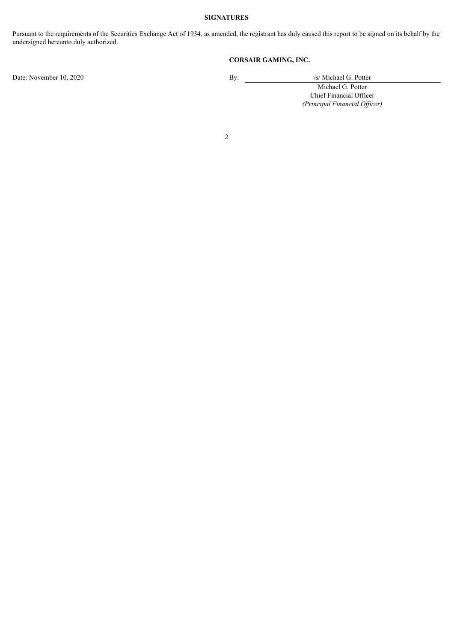#### **SIGNATURES**

Pursuant to the requirements of the Securities Exchange Act of 1934, as amended, the registrant has duly caused this report to be signed on its behalf by the undersigned hereunto duly authorized.

#### **CORSAIR GAMING, INC.**

Date: November 10, 2020 By: /s/ Michael G. Potter

Michael G. Potter

Chief Financial Officer *(Principal Financial Of icer)*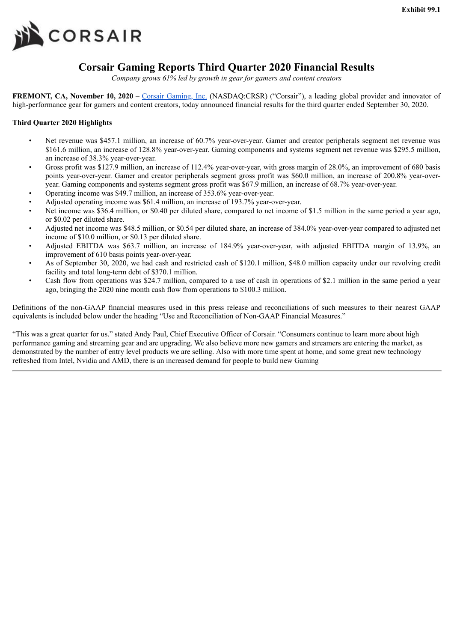<span id="page-3-0"></span>

# **Corsair Gaming Reports Third Quarter 2020 Financial Results**

*Company grows 61% led by growth in gear for gamers and content creators*

**FREMONT, CA, November 10, 2020** – Corsair Gaming, Inc. (NASDAQ:CRSR) ("Corsair"), a leading global provider and innovator of high-performance gear for gamers and content creators, today announced financial results for the third quarter ended September 30, 2020.

#### **Third Quarter 2020 Highlights**

- Net revenue was \$457.1 million, an increase of 60.7% year-over-year. Gamer and creator peripherals segment net revenue was \$161.6 million, an increase of 128.8% year-over-year. Gaming components and systems segment net revenue was \$295.5 million, an increase of 38.3% year-over-year.
- Gross profit was \$127.9 million, an increase of 112.4% year-over-year, with gross margin of 28.0%, an improvement of 680 basis points year-over-year. Gamer and creator peripherals segment gross profit was \$60.0 million, an increase of 200.8% year-overyear. Gaming components and systems segment gross profit was \$67.9 million, an increase of 68.7% year-over-year.
- Operating income was \$49.7 million, an increase of 353.6% year-over-year.
- Adjusted operating income was \$61.4 million, an increase of 193.7% year-over-year.
- Net income was \$36.4 million, or \$0.40 per diluted share, compared to net income of \$1.5 million in the same period a year ago, or \$0.02 per diluted share.
- Adjusted net income was \$48.5 million, or \$0.54 per diluted share, an increase of 384.0% year-over-year compared to adjusted net income of \$10.0 million, or \$0.13 per diluted share.
- Adjusted EBITDA was \$63.7 million, an increase of 184.9% year-over-year, with adjusted EBITDA margin of 13.9%, an improvement of 610 basis points year-over-year.
- As of September 30, 2020, we had cash and restricted cash of \$120.1 million, \$48.0 million capacity under our revolving credit facility and total long-term debt of \$370.1 million.
- Cash flow from operations was \$24.7 million, compared to a use of cash in operations of \$2.1 million in the same period a year ago, bringing the 2020 nine month cash flow from operations to \$100.3 million.

Definitions of the non-GAAP financial measures used in this press release and reconciliations of such measures to their nearest GAAP equivalents is included below under the heading "Use and Reconciliation of Non-GAAP Financial Measures."

"This was a great quarter for us." stated Andy Paul, Chief Executive Officer of Corsair. "Consumers continue to learn more about high performance gaming and streaming gear and are upgrading. We also believe more new gamers and streamers are entering the market, as demonstrated by the number of entry level products we are selling. Also with more time spent at home, and some great new technology refreshed from Intel, Nvidia and AMD, there is an increased demand for people to build new Gaming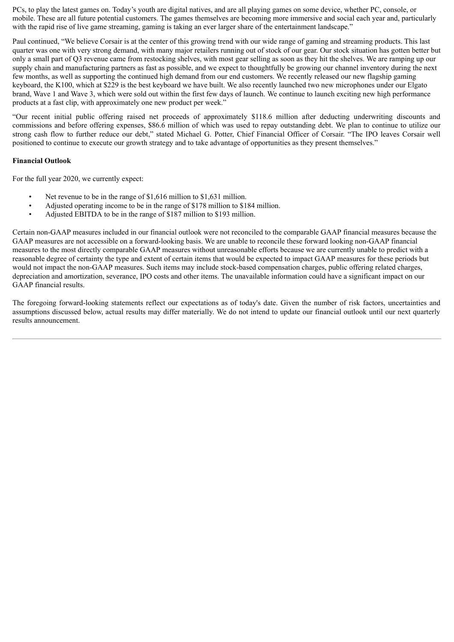PCs, to play the latest games on. Today's youth are digital natives, and are all playing games on some device, whether PC, console, or mobile. These are all future potential customers. The games themselves are becoming more immersive and social each year and, particularly with the rapid rise of live game streaming, gaming is taking an ever larger share of the entertainment landscape."

Paul continued, "We believe Corsair is at the center of this growing trend with our wide range of gaming and streaming products. This last quarter was one with very strong demand, with many major retailers running out of stock of our gear. Our stock situation has gotten better but only a small part of Q3 revenue came from restocking shelves, with most gear selling as soon as they hit the shelves. We are ramping up our supply chain and manufacturing partners as fast as possible, and we expect to thoughtfully be growing our channel inventory during the next few months, as well as supporting the continued high demand from our end customers. We recently released our new flagship gaming keyboard, the K100, which at \$229 is the best keyboard we have built. We also recently launched two new microphones under our Elgato brand, Wave 1 and Wave 3, which were sold out within the first few days of launch. We continue to launch exciting new high performance products at a fast clip, with approximately one new product per week."

"Our recent initial public offering raised net proceeds of approximately \$118.6 million after deducting underwriting discounts and commissions and before offering expenses, \$86.6 million of which was used to repay outstanding debt. We plan to continue to utilize our strong cash flow to further reduce our debt," stated Michael G. Potter, Chief Financial Officer of Corsair. "The IPO leaves Corsair well positioned to continue to execute our growth strategy and to take advantage of opportunities as they present themselves."

#### **Financial Outlook**

For the full year 2020, we currently expect:

- Net revenue to be in the range of \$1,616 million to \$1,631 million.
- Adjusted operating income to be in the range of \$178 million to \$184 million.
- Adjusted EBITDA to be in the range of \$187 million to \$193 million.

Certain non-GAAP measures included in our financial outlook were not reconciled to the comparable GAAP financial measures because the GAAP measures are not accessible on a forward-looking basis. We are unable to reconcile these forward looking non-GAAP financial measures to the most directly comparable GAAP measures without unreasonable efforts because we are currently unable to predict with a reasonable degree of certainty the type and extent of certain items that would be expected to impact GAAP measures for these periods but would not impact the non-GAAP measures. Such items may include stock-based compensation charges, public offering related charges, depreciation and amortization, severance, IPO costs and other items. The unavailable information could have a significant impact on our GAAP financial results.

The foregoing forward-looking statements reflect our expectations as of today's date. Given the number of risk factors, uncertainties and assumptions discussed below, actual results may differ materially. We do not intend to update our financial outlook until our next quarterly results announcement.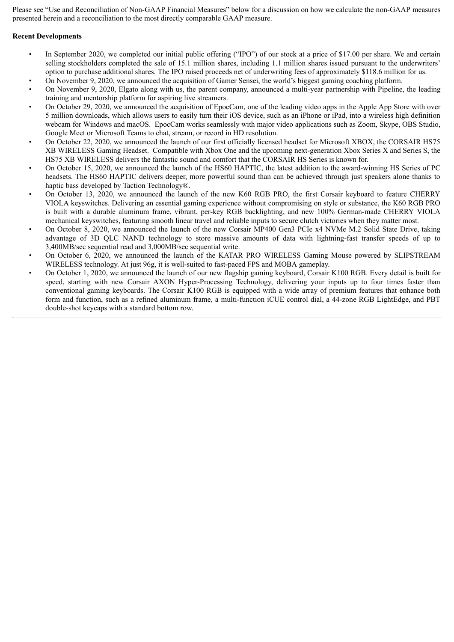Please see "Use and Reconciliation of Non-GAAP Financial Measures" below for a discussion on how we calculate the non-GAAP measures presented herein and a reconciliation to the most directly comparable GAAP measure.

#### **Recent Developments**

- In September 2020, we completed our initial public offering ("IPO") of our stock at a price of \$17.00 per share. We and certain selling stockholders completed the sale of 15.1 million shares, including 1.1 million shares issued pursuant to the underwriters' option to purchase additional shares. The IPO raised proceeds net of underwriting fees of approximately \$118.6 million for us.
- On November 9, 2020, we announced the acquisition of Gamer Sensei, the world's biggest gaming coaching platform.
- On November 9, 2020, Elgato along with us, the parent company, announced a multi-year partnership with Pipeline, the leading training and mentorship platform for aspiring live streamers.
- On October 29, 2020, we announced the acquisition of EpocCam, one of the leading video apps in the Apple App Store with over 5 million downloads, which allows users to easily turn their iOS device, such as an iPhone or iPad, into a wireless high definition webcam for Windows and macOS. EpocCam works seamlessly with major video applications such as Zoom, Skype, OBS Studio, Google Meet or Microsoft Teams to chat, stream, or record in HD resolution.
- On October 22, 2020, we announced the launch of our first officially licensed headset for Microsoft XBOX, the CORSAIR HS75 XB WIRELESS Gaming Headset. Compatible with Xbox One and the upcoming next-generation Xbox Series X and Series S, the HS75 XB WIRELESS delivers the fantastic sound and comfort that the CORSAIR HS Series is known for.
- On October 15, 2020, we announced the launch of the HS60 HAPTIC, the latest addition to the award-winning HS Series of PC headsets. The HS60 HAPTIC delivers deeper, more powerful sound than can be achieved through just speakers alone thanks to haptic bass developed by Taction Technology®.
- On October 13, 2020, we announced the launch of the new K60 RGB PRO, the first Corsair keyboard to feature CHERRY VIOLA keyswitches. Delivering an essential gaming experience without compromising on style or substance, the K60 RGB PRO is built with a durable aluminum frame, vibrant, per-key RGB backlighting, and new 100% German-made CHERRY VIOLA mechanical keyswitches, featuring smooth linear travel and reliable inputs to secure clutch victories when they matter most.
- On October 8, 2020, we announced the launch of the new Corsair MP400 Gen3 PCIe x4 NVMe M.2 Solid State Drive, taking advantage of 3D QLC NAND technology to store massive amounts of data with lightning-fast transfer speeds of up to 3,400MB/sec sequential read and 3,000MB/sec sequential write.
- On October 6, 2020, we announced the launch of the KATAR PRO WIRELESS Gaming Mouse powered by SLIPSTREAM WIRELESS technology. At just 96g, it is well-suited to fast-paced FPS and MOBA gameplay.
- On October 1, 2020, we announced the launch of our new flagship gaming keyboard, Corsair K100 RGB. Every detail is built for speed, starting with new Corsair AXON Hyper-Processing Technology, delivering your inputs up to four times faster than conventional gaming keyboards. The Corsair K100 RGB is equipped with a wide array of premium features that enhance both form and function, such as a refined aluminum frame, a multi-function iCUE control dial, a 44-zone RGB LightEdge, and PBT double-shot keycaps with a standard bottom row.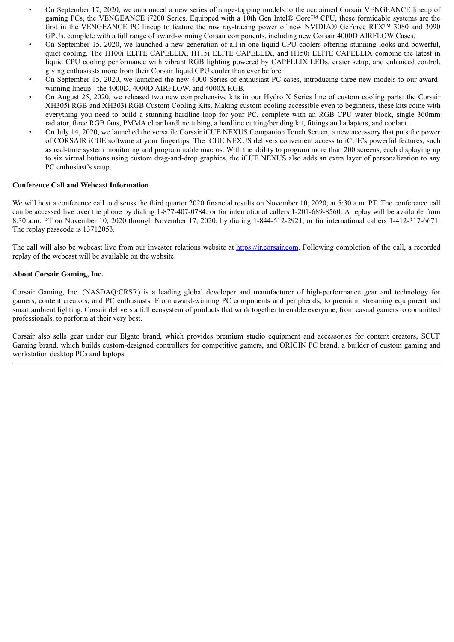- On September 17, 2020, we announced a new series of range-topping models to the acclaimed Corsair VENGEANCE lineup of gaming PCs, the VENGEANCE i7200 Series. Equipped with a 10th Gen Intel® Core™ CPU, these formidable systems are the first in the VENGEANCE PC lineup to feature the raw ray-tracing power of new NVIDIA® GeForce RTX™ 3080 and 3090 GPUs, complete with a full range of award-winning Corsair components, including new Corsair 4000D AIRFLOW Cases.
- On September 15, 2020, we launched a new generation of all-in-one liquid CPU coolers offering stunning looks and powerful, quiet cooling. The H100i ELITE CAPELLIX, H115i ELITE CAPELLIX, and H150i ELITE CAPELLIX combine the latest in liquid CPU cooling performance with vibrant RGB lighting powered by CAPELLIX LEDs, easier setup, and enhanced control, giving enthusiasts more from their Corsair liquid CPU cooler than ever before.
- On September 15, 2020, we launched the new 4000 Series of enthusiast PC cases, introducing three new models to our awardwinning lineup - the 4000D, 4000D AIRFLOW, and 4000X RGB.
- On August 25, 2020, we released two new comprehensive kits in our Hydro X Series line of custom cooling parts: the Corsair XH305i RGB and XH303i RGB Custom Cooling Kits. Making custom cooling accessible even to beginners, these kits come with everything you need to build a stunning hardline loop for your PC, complete with an RGB CPU water block, single 360mm radiator, three RGB fans, PMMA clear hardline tubing, a hardline cutting/bending kit, fittings and adapters, and coolant.
- On July 14, 2020, we launched the versatile Corsair iCUE NEXUS Companion Touch Screen, a new accessory that puts the power of CORSAIR iCUE software at your fingertips. The iCUE NEXUS delivers convenient access to iCUE's powerful features, such as real-time system monitoring and programmable macros. With the ability to program more than 200 screens, each displaying up to six virtual buttons using custom drag-and-drop graphics, the iCUE NEXUS also adds an extra layer of personalization to any PC enthusiast's setup.

#### **Conference Call and Webcast Information**

We will host a conference call to discuss the third quarter 2020 financial results on November 10, 2020, at 5:30 a.m. PT. The conference call can be accessed live over the phone by dialing 1-877-407-0784, or for international callers 1-201-689-8560. A replay will be available from 8:30 a.m. PT on November 10, 2020 through November 17, 2020, by dialing 1-844-512-2921, or for international callers 1-412-317-6671. The replay passcode is 13712053.

The call will also be webcast live from our investor relations website at https://ir.corsair.com. Following completion of the call, a recorded replay of the webcast will be available on the website.

#### **About Corsair Gaming, Inc.**

Corsair Gaming, Inc. (NASDAQ:CRSR) is a leading global developer and manufacturer of high-performance gear and technology for gamers, content creators, and PC enthusiasts. From award-winning PC components and peripherals, to premium streaming equipment and smart ambient lighting, Corsair delivers a full ecosystem of products that work together to enable everyone, from casual gamers to committed professionals, to perform at their very best.

Corsair also sells gear under our Elgato brand, which provides premium studio equipment and accessories for content creators, SCUF Gaming brand, which builds custom-designed controllers for competitive gamers, and ORIGIN PC brand, a builder of custom gaming and workstation desktop PCs and laptops.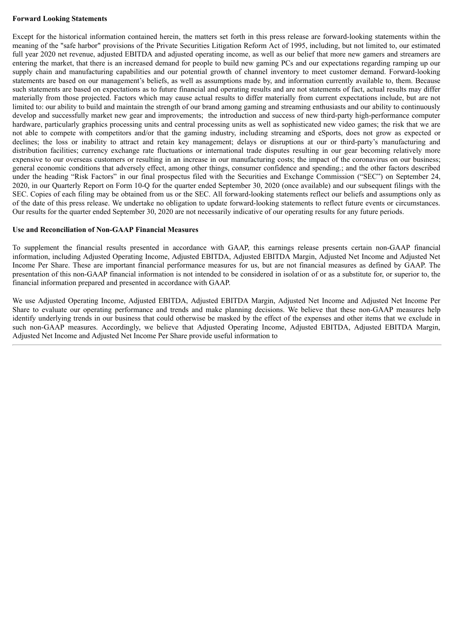#### **Forward Looking Statements**

Except for the historical information contained herein, the matters set forth in this press release are forward-looking statements within the meaning of the "safe harbor" provisions of the Private Securities Litigation Reform Act of 1995, including, but not limited to, our estimated full year 2020 net revenue, adjusted EBITDA and adjusted operating income, as well as our belief that more new gamers and streamers are entering the market, that there is an increased demand for people to build new gaming PCs and our expectations regarding ramping up our supply chain and manufacturing capabilities and our potential growth of channel inventory to meet customer demand. Forward-looking statements are based on our management's beliefs, as well as assumptions made by, and information currently available to, them. Because such statements are based on expectations as to future financial and operating results and are not statements of fact, actual results may differ materially from those projected. Factors which may cause actual results to differ materially from current expectations include, but are not limited to: our ability to build and maintain the strength of our brand among gaming and streaming enthusiasts and our ability to continuously develop and successfully market new gear and improvements; the introduction and success of new third-party high-performance computer hardware, particularly graphics processing units and central processing units as well as sophisticated new video games; the risk that we are not able to compete with competitors and/or that the gaming industry, including streaming and eSports, does not grow as expected or declines; the loss or inability to attract and retain key management; delays or disruptions at our or third-party's manufacturing and distribution facilities; currency exchange rate fluctuations or international trade disputes resulting in our gear becoming relatively more expensive to our overseas customers or resulting in an increase in our manufacturing costs; the impact of the coronavirus on our business; general economic conditions that adversely effect, among other things, consumer confidence and spending.; and the other factors described under the heading "Risk Factors" in our final prospectus filed with the Securities and Exchange Commission ("SEC") on September 24, 2020, in our Quarterly Report on Form 10-Q for the quarter ended September 30, 2020 (once available) and our subsequent filings with the SEC. Copies of each filing may be obtained from us or the SEC. All forward-looking statements reflect our beliefs and assumptions only as of the date of this press release. We undertake no obligation to update forward-looking statements to reflect future events or circumstances. Our results for the quarter ended September 30, 2020 are not necessarily indicative of our operating results for any future periods.

#### **Use and Reconciliation of Non-GAAP Financial Measures**

To supplement the financial results presented in accordance with GAAP, this earnings release presents certain non-GAAP financial information, including Adjusted Operating Income, Adjusted EBITDA, Adjusted EBITDA Margin, Adjusted Net Income and Adjusted Net Income Per Share. These are important financial performance measures for us, but are not financial measures as defined by GAAP. The presentation of this non-GAAP financial information is not intended to be considered in isolation of or as a substitute for, or superior to, the financial information prepared and presented in accordance with GAAP.

We use Adjusted Operating Income, Adjusted EBITDA, Adjusted EBITDA Margin, Adjusted Net Income and Adjusted Net Income Per Share to evaluate our operating performance and trends and make planning decisions. We believe that these non-GAAP measures help identify underlying trends in our business that could otherwise be masked by the effect of the expenses and other items that we exclude in such non-GAAP measures. Accordingly, we believe that Adjusted Operating Income, Adjusted EBITDA, Adjusted EBITDA Margin, Adjusted Net Income and Adjusted Net Income Per Share provide useful information to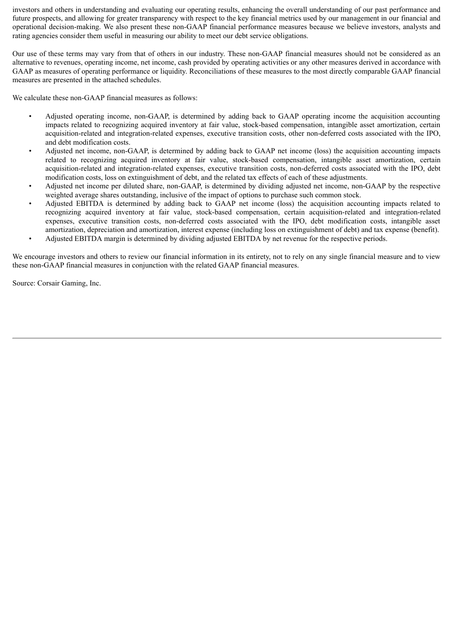investors and others in understanding and evaluating our operating results, enhancing the overall understanding of our past performance and future prospects, and allowing for greater transparency with respect to the key financial metrics used by our management in our financial and operational decision-making. We also present these non-GAAP financial performance measures because we believe investors, analysts and rating agencies consider them useful in measuring our ability to meet our debt service obligations.

Our use of these terms may vary from that of others in our industry. These non-GAAP financial measures should not be considered as an alternative to revenues, operating income, net income, cash provided by operating activities or any other measures derived in accordance with GAAP as measures of operating performance or liquidity. Reconciliations of these measures to the most directly comparable GAAP financial measures are presented in the attached schedules.

We calculate these non-GAAP financial measures as follows:

- Adjusted operating income, non-GAAP, is determined by adding back to GAAP operating income the acquisition accounting impacts related to recognizing acquired inventory at fair value, stock-based compensation, intangible asset amortization, certain acquisition-related and integration-related expenses, executive transition costs, other non-deferred costs associated with the IPO, and debt modification costs.
- Adjusted net income, non-GAAP, is determined by adding back to GAAP net income (loss) the acquisition accounting impacts related to recognizing acquired inventory at fair value, stock-based compensation, intangible asset amortization, certain acquisition-related and integration-related expenses, executive transition costs, non-deferred costs associated with the IPO, debt modification costs, loss on extinguishment of debt, and the related tax effects of each of these adjustments.
- Adjusted net income per diluted share, non-GAAP, is determined by dividing adjusted net income, non-GAAP by the respective weighted average shares outstanding, inclusive of the impact of options to purchase such common stock.
- Adjusted EBITDA is determined by adding back to GAAP net income (loss) the acquisition accounting impacts related to recognizing acquired inventory at fair value, stock-based compensation, certain acquisition-related and integration-related expenses, executive transition costs, non-deferred costs associated with the IPO, debt modification costs, intangible asset amortization, depreciation and amortization, interest expense (including loss on extinguishment of debt) and tax expense (benefit).
- Adjusted EBITDA margin is determined by dividing adjusted EBITDA by net revenue for the respective periods.

We encourage investors and others to review our financial information in its entirety, not to rely on any single financial measure and to view these non-GAAP financial measures in conjunction with the related GAAP financial measures.

Source: Corsair Gaming, Inc.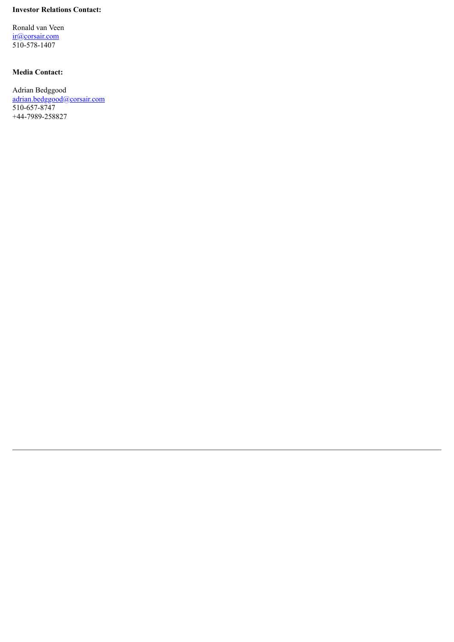#### **Investor Relations Contact:**

Ronald van Veen ir@corsair.com 510-578-1407

### **Media Contact:**

Adrian Bedggood adrian.bedggood@corsair.com 510-657-8747 +44-7989-258827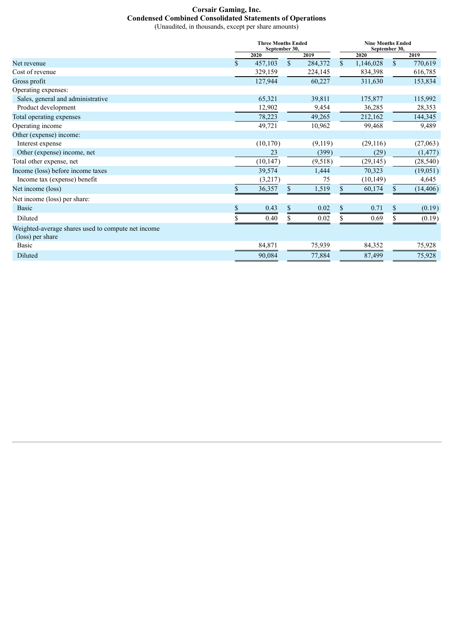## **Corsair Gaming, Inc. Condensed Combined Consolidated Statements of Operations**

(Unaudited, in thousands, except per share amounts)

|                                                                        |             | <b>Three Months Ended</b><br>September 30, |              |         |              |           | <b>Nine Months Ended</b><br>September 30, |           |  |  |
|------------------------------------------------------------------------|-------------|--------------------------------------------|--------------|---------|--------------|-----------|-------------------------------------------|-----------|--|--|
|                                                                        |             | 2020                                       |              | 2019    |              | 2020      |                                           | 2019      |  |  |
| Net revenue                                                            | $\mathbf S$ | 457,103                                    | $\mathbb{S}$ | 284,372 | $\mathbb{S}$ | 1,146,028 | $\mathbb{S}$                              | 770,619   |  |  |
| Cost of revenue                                                        |             | 329,159                                    |              | 224,145 |              | 834,398   |                                           | 616,785   |  |  |
| Gross profit                                                           |             | 127,944                                    |              | 60,227  |              | 311,630   |                                           | 153,834   |  |  |
| Operating expenses:                                                    |             |                                            |              |         |              |           |                                           |           |  |  |
| Sales, general and administrative                                      |             | 65,321                                     |              | 39,811  |              | 175,877   |                                           | 115,992   |  |  |
| Product development                                                    |             | 12,902                                     |              | 9,454   |              | 36,285    |                                           | 28,353    |  |  |
| Total operating expenses                                               |             | 78,223                                     |              | 49,265  |              | 212,162   |                                           | 144,345   |  |  |
| Operating income                                                       |             | 49,721                                     |              | 10,962  |              | 99,468    |                                           | 9,489     |  |  |
| Other (expense) income:                                                |             |                                            |              |         |              |           |                                           |           |  |  |
| Interest expense                                                       |             | (10, 170)                                  |              | (9,119) |              | (29,116)  |                                           | (27,063)  |  |  |
| Other (expense) income, net                                            |             | 23                                         |              | (399)   |              | (29)      |                                           | (1, 477)  |  |  |
| Total other expense, net                                               |             | (10, 147)                                  |              | (9,518) |              | (29, 145) |                                           | (28, 540) |  |  |
| Income (loss) before income taxes                                      |             | 39,574                                     |              | 1,444   |              | 70,323    |                                           | (19,051)  |  |  |
| Income tax (expense) benefit                                           |             | (3,217)                                    |              | 75      |              | (10, 149) |                                           | 4,645     |  |  |
| Net income (loss)                                                      | \$          | 36,357                                     | \$           | 1,519   | \$           | 60,174    | \$                                        | (14, 406) |  |  |
| Net income (loss) per share:                                           |             |                                            |              |         |              |           |                                           |           |  |  |
| <b>Basic</b>                                                           |             | 0.43                                       | \$           | 0.02    | S            | 0.71      | \$                                        | (0.19)    |  |  |
| Diluted                                                                |             | 0.40                                       | S            | 0.02    | S.           | 0.69      |                                           | (0.19)    |  |  |
| Weighted-average shares used to compute net income<br>(loss) per share |             |                                            |              |         |              |           |                                           |           |  |  |
| <b>Basic</b>                                                           |             | 84,871                                     |              | 75,939  |              | 84,352    |                                           | 75,928    |  |  |
| Diluted                                                                |             | 90,084                                     |              | 77,884  |              | 87,499    |                                           | 75,928    |  |  |
|                                                                        |             |                                            |              |         |              |           |                                           |           |  |  |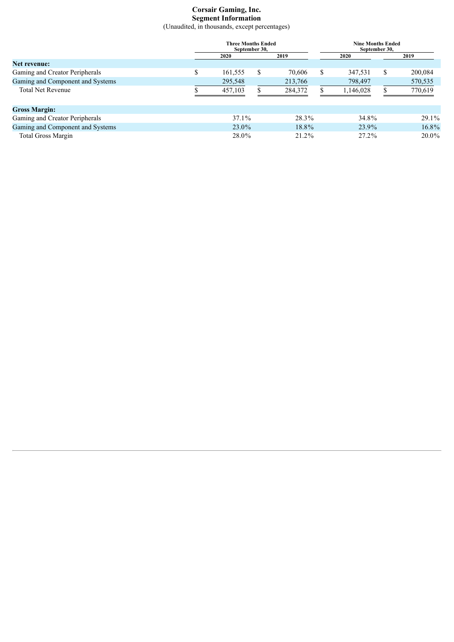## **Corsair Gaming, Inc. Segment Information**

(Unaudited, in thousands, except percentages)

| <b>Three Months Ended</b><br>September 30. |    |         |  |         |   | <b>Nine Months Ended</b> | September 30. |          |
|--------------------------------------------|----|---------|--|---------|---|--------------------------|---------------|----------|
|                                            |    | 2020    |  | 2019    |   | <b>2020</b>              |               | 2019     |
| Net revenue:                               |    |         |  |         |   |                          |               |          |
| Gaming and Creator Peripherals             | \$ | 161,555 |  | 70,606  | S | 347,531                  | \$.           | 200,084  |
| Gaming and Component and Systems           |    | 295,548 |  | 213,766 |   | 798,497                  |               | 570,535  |
| <b>Total Net Revenue</b>                   |    | 457,103 |  | 284,372 |   | 1.146.028                |               | 770,619  |
| <b>Gross Margin:</b>                       |    |         |  |         |   |                          |               |          |
| Gaming and Creator Peripherals             |    | 37.1%   |  | 28.3%   |   | 34.8%                    |               | $29.1\%$ |
| Gaming and Component and Systems           |    | 23.0%   |  | 18.8%   |   | 23.9%                    |               | 16.8%    |
| <b>Total Gross Margin</b>                  |    | 28.0%   |  | 21.2%   |   | $27.2\%$                 |               | 20.0%    |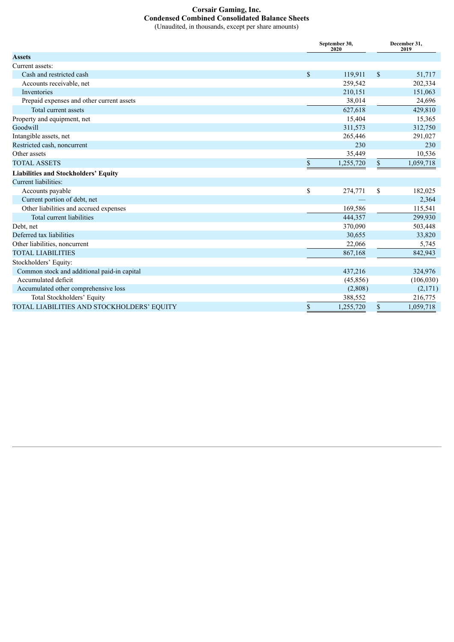# **Corsair Gaming, Inc. Condensed Combined Consolidated Balance Sheets**

|  |  |  | (Unaudited, in thousands, except per share amounts) |
|--|--|--|-----------------------------------------------------|
|--|--|--|-----------------------------------------------------|

|                                             | September 30,<br>2020 | December 31,<br>2019 |
|---------------------------------------------|-----------------------|----------------------|
| <b>Assets</b>                               |                       |                      |
| Current assets:                             |                       |                      |
| Cash and restricted cash                    | \$<br>119,911         | \$<br>51,717         |
| Accounts receivable, net                    | 259,542               | 202,334              |
| Inventories                                 | 210,151               | 151,063              |
| Prepaid expenses and other current assets   | 38,014                | 24,696               |
| Total current assets                        | 627,618               | 429,810              |
| Property and equipment, net                 | 15,404                | 15,365               |
| Goodwill                                    | 311,573               | 312,750              |
| Intangible assets, net                      | 265,446               | 291,027              |
| Restricted cash, noncurrent                 | 230                   | 230                  |
| Other assets                                | 35,449                | 10,536               |
| <b>TOTAL ASSETS</b>                         | \$<br>1,255,720       | \$<br>1,059,718      |
| <b>Liabilities and Stockholders' Equity</b> |                       |                      |
| Current liabilities:                        |                       |                      |
| Accounts payable                            | \$<br>274,771         | \$<br>182,025        |
| Current portion of debt, net                |                       | 2,364                |
| Other liabilities and accrued expenses      | 169,586               | 115,541              |
| Total current liabilities                   | 444,357               | 299,930              |
| Debt, net                                   | 370,090               | 503,448              |
| Deferred tax liabilities                    | 30,655                | 33,820               |
| Other liabilities, noncurrent               | 22,066                | 5,745                |
| <b>TOTAL LIABILITIES</b>                    | 867,168               | 842,943              |
| Stockholders' Equity:                       |                       |                      |
| Common stock and additional paid-in capital | 437,216               | 324,976              |
| Accumulated deficit                         | (45, 856)             | (106, 030)           |
| Accumulated other comprehensive loss        | (2,808)               | (2,171)              |
| Total Stockholders' Equity                  | 388,552               | 216,775              |
| TOTAL LIABILITIES AND STOCKHOLDERS' EQUITY  | \$<br>1,255,720       | \$<br>1,059,718      |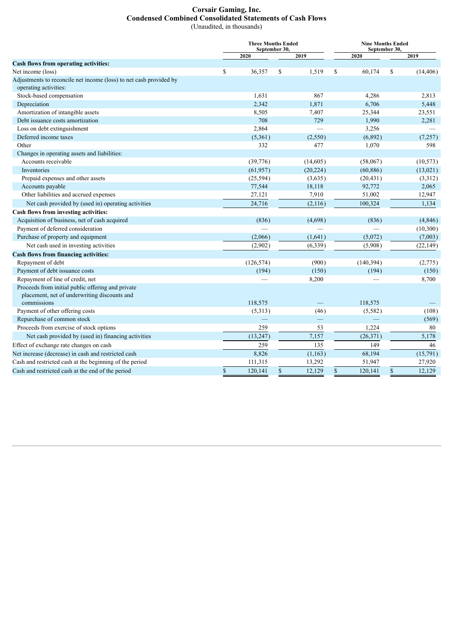#### **Corsair Gaming, Inc. Condensed Combined Consolidated Statements of Cash Flows** (Unaudited, in thousands)

|                                                                                                   |             | <b>Three Months Ended</b><br>September 30, |               |                          |             | <b>Nine Months Ended</b><br>September 30, |               |           |  |  |
|---------------------------------------------------------------------------------------------------|-------------|--------------------------------------------|---------------|--------------------------|-------------|-------------------------------------------|---------------|-----------|--|--|
|                                                                                                   |             | 2020                                       |               | 2019                     |             | 2020                                      |               | 2019      |  |  |
| Cash flows from operating activities:                                                             |             |                                            |               |                          |             |                                           |               |           |  |  |
| Net income (loss)                                                                                 | \$          | 36,357                                     | S.            | 1,519                    | S           | 60,174                                    | S             | (14, 406) |  |  |
| Adjustments to reconcile net income (loss) to net cash provided by                                |             |                                            |               |                          |             |                                           |               |           |  |  |
| operating activities:                                                                             |             |                                            |               |                          |             |                                           |               |           |  |  |
| Stock-based compensation                                                                          |             | 1,631                                      |               | 867                      |             | 4,286                                     |               | 2,813     |  |  |
| Depreciation                                                                                      |             | 2,342                                      |               | 1,871                    |             | 6,706                                     |               | 5,448     |  |  |
| Amortization of intangible assets                                                                 |             | 8,505                                      |               | 7,407                    |             | 25,344                                    |               | 23,551    |  |  |
| Debt issuance costs amortization                                                                  |             | 708                                        |               | 729                      |             | 1,990                                     |               | 2,281     |  |  |
| Loss on debt extinguishment                                                                       |             | 2,864                                      |               | $\overline{\phantom{0}}$ |             | 3,256                                     |               |           |  |  |
| Deferred income taxes                                                                             |             | (5,361)                                    |               | (2,550)                  |             | (6,892)                                   |               | (7, 257)  |  |  |
| Other                                                                                             |             | 332                                        |               | 477                      |             | 1,070                                     |               | 598       |  |  |
| Changes in operating assets and liabilities:                                                      |             |                                            |               |                          |             |                                           |               |           |  |  |
| Accounts receivable                                                                               |             | (39,776)                                   |               | (14,605)                 |             | (58,067)                                  |               | (10, 573) |  |  |
| Inventories                                                                                       |             | (61, 957)                                  |               | (20, 224)                |             | (60, 886)                                 |               | (13, 021) |  |  |
| Prepaid expenses and other assets                                                                 |             | (25,594)                                   |               | (3,635)                  |             | (20, 431)                                 |               | (3,312)   |  |  |
| Accounts payable                                                                                  |             | 77,544                                     |               | 18,118                   |             | 92,772                                    |               | 2,065     |  |  |
| Other liabilities and accrued expenses                                                            |             | 27,121                                     |               | 7,910                    |             | 51,002                                    |               | 12,947    |  |  |
| Net cash provided by (used in) operating activities                                               |             | 24,716                                     |               | (2, 116)                 |             | 100,324                                   |               | 1,134     |  |  |
| Cash flows from investing activities:                                                             |             |                                            |               |                          |             |                                           |               |           |  |  |
| Acquisition of business, net of cash acquired                                                     |             | (836)                                      |               | (4,698)                  |             | (836)                                     |               | (4, 846)  |  |  |
| Payment of deferred consideration                                                                 |             |                                            |               |                          |             |                                           |               | (10, 300) |  |  |
| Purchase of property and equipment                                                                |             | (2,066)                                    |               | (1,641)                  |             | (5,072)                                   |               | (7,003)   |  |  |
| Net cash used in investing activities                                                             |             | (2,902)                                    |               | (6, 339)                 |             | (5,908)                                   |               | (22, 149) |  |  |
| <b>Cash flows from financing activities:</b>                                                      |             |                                            |               |                          |             |                                           |               |           |  |  |
| Repayment of debt                                                                                 |             | (126, 574)                                 |               | (900)                    |             | (140, 394)                                |               | (2,775)   |  |  |
| Payment of debt issuance costs                                                                    |             | (194)                                      |               | (150)                    |             | (194)                                     |               | (150)     |  |  |
| Repayment of line of credit, net                                                                  |             |                                            |               | 8,200                    |             |                                           |               | 8,700     |  |  |
| Proceeds from initial public offering and private<br>placement, net of underwriting discounts and |             |                                            |               |                          |             |                                           |               |           |  |  |
| commissions                                                                                       |             | 118,575                                    |               |                          |             | 118,575                                   |               |           |  |  |
| Payment of other offering costs                                                                   |             | (5,313)                                    |               | (46)                     |             | (5,582)                                   |               | (108)     |  |  |
| Repurchase of common stock                                                                        |             |                                            |               |                          |             |                                           |               | (569)     |  |  |
| Proceeds from exercise of stock options                                                           |             | 259                                        |               | 53                       |             | 1,224                                     |               | 80        |  |  |
| Net cash provided by (used in) financing activities                                               |             | (13,247)                                   |               | 7,157                    |             | (26,371)                                  |               | 5,178     |  |  |
| Effect of exchange rate changes on cash                                                           |             | 259                                        |               | 135                      |             | 149                                       |               | 46        |  |  |
| Net increase (decrease) in cash and restricted cash                                               |             | 8,826                                      |               | (1, 163)                 |             | 68,194                                    |               | (15, 791) |  |  |
| Cash and restricted cash at the beginning of the period                                           |             | 111,315                                    |               | 13,292                   |             | 51,947                                    |               | 27,920    |  |  |
| Cash and restricted cash at the end of the period                                                 | $\mathbf S$ | 120,141                                    | $\mathsf{\$}$ | 12,129                   | $\mathbb S$ | 120,141                                   | $\mathsf{\$}$ | 12,129    |  |  |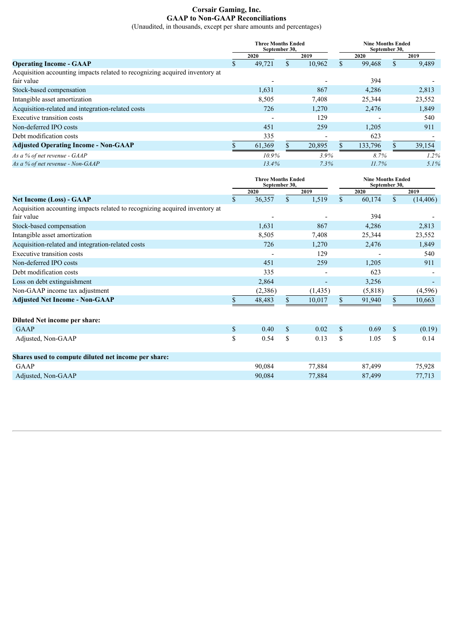#### **Corsair Gaming, Inc. GAAP to Non-GAAP Reconciliations**

(Unaudited, in thousands, except per share amounts and percentages)

|                                                                             |    | <b>Three Months Ended</b><br>September 30, |     |        | <b>Nine Months Ended</b><br>September 30, |         |  |         |
|-----------------------------------------------------------------------------|----|--------------------------------------------|-----|--------|-------------------------------------------|---------|--|---------|
|                                                                             |    | 2020                                       |     | 2019   |                                           | 2020    |  | 2019    |
| <b>Operating Income - GAAP</b>                                              | J. | 49.721                                     | \$. | 10,962 |                                           | 99,468  |  | 9,489   |
| Acquisition accounting impacts related to recognizing acquired inventory at |    |                                            |     |        |                                           |         |  |         |
| fair value                                                                  |    |                                            |     |        |                                           | 394     |  |         |
| Stock-based compensation                                                    |    | 1,631                                      |     | 867    |                                           | 4,286   |  | 2,813   |
| Intangible asset amortization                                               |    | 8,505                                      |     | 7,408  |                                           | 25,344  |  | 23,552  |
| Acquisition-related and integration-related costs                           |    | 726                                        |     | 1,270  |                                           | 2,476   |  | 1,849   |
| Executive transition costs                                                  |    |                                            |     | 129    |                                           |         |  | 540     |
| Non-deferred IPO costs                                                      |    | 451                                        |     | 259    |                                           | 1,205   |  | 911     |
| Debt modification costs                                                     |    | 335                                        |     |        |                                           | 623     |  |         |
| <b>Adjusted Operating Income - Non-GAAP</b>                                 |    | 61,369                                     |     | 20,895 |                                           | 133,796 |  | 39,154  |
| As a % of net revenue - GAAP                                                |    | $10.9\%$                                   |     | 3.9%   |                                           | 8.7%    |  | $1.2\%$ |
| As a % of net revenue - Non-GAAP                                            |    | 13.4%                                      |     | 7.3%   |                                           | 11.7%   |  | $5.1\%$ |

|                                                                                           |              | <b>Three Months Ended</b><br>September 30, |               |                          | <b>Nine Months Ended</b><br>September 30, |         |              |           |
|-------------------------------------------------------------------------------------------|--------------|--------------------------------------------|---------------|--------------------------|-------------------------------------------|---------|--------------|-----------|
|                                                                                           |              | 2020                                       |               | 2019                     |                                           | 2020    |              | 2019      |
| <b>Net Income (Loss) - GAAP</b>                                                           | \$           | 36,357                                     | $\mathcal{S}$ | 1,519                    | \$                                        | 60,174  | $\mathbb{S}$ | (14, 406) |
| Acquisition accounting impacts related to recognizing acquired inventory at<br>fair value |              |                                            |               |                          |                                           | 394     |              |           |
| Stock-based compensation                                                                  |              | 1,631                                      |               | 867                      |                                           | 4,286   |              | 2,813     |
| Intangible asset amortization                                                             |              | 8,505                                      |               | 7,408                    |                                           | 25,344  |              | 23,552    |
| Acquisition-related and integration-related costs                                         |              | 726                                        |               | 1,270                    |                                           | 2,476   |              | 1,849     |
| Executive transition costs                                                                |              |                                            |               | 129                      |                                           |         |              | 540       |
| Non-deferred IPO costs                                                                    |              | 451                                        |               | 259                      |                                           | 1,205   |              | 911       |
| Debt modification costs                                                                   |              | 335                                        |               | $\overline{\phantom{0}}$ |                                           | 623     |              |           |
| Loss on debt extinguishment                                                               |              | 2,864                                      |               | $\overline{\phantom{a}}$ |                                           | 3,256   |              |           |
| Non-GAAP income tax adjustment                                                            |              | (2,386)                                    |               | (1, 435)                 |                                           | (5,818) |              | (4,596)   |
| <b>Adjusted Net Income - Non-GAAP</b>                                                     |              | 48,483                                     | \$            | 10,017                   | \$                                        | 91,940  | S.           | 10,663    |
| Diluted Net income per share:                                                             |              |                                            |               |                          |                                           |         |              |           |
| <b>GAAP</b>                                                                               | $\mathbb{S}$ | 0.40                                       | $\mathcal{S}$ | 0.02                     | $\mathbf S$                               | 0.69    | $\mathbb{S}$ | (0.19)    |
| Adjusted, Non-GAAP                                                                        | \$           | 0.54                                       | \$            | 0.13                     | $\mathbf S$                               | 1.05    | $\mathbf S$  | 0.14      |
| Shares used to compute diluted net income per share:                                      |              |                                            |               |                          |                                           |         |              |           |
| <b>GAAP</b>                                                                               |              | 90,084                                     |               | 77,884                   |                                           | 87,499  |              | 75,928    |
| Adjusted, Non-GAAP                                                                        |              | 90,084                                     |               | 77,884                   |                                           | 87,499  |              | 77,713    |
|                                                                                           |              |                                            |               |                          |                                           |         |              |           |